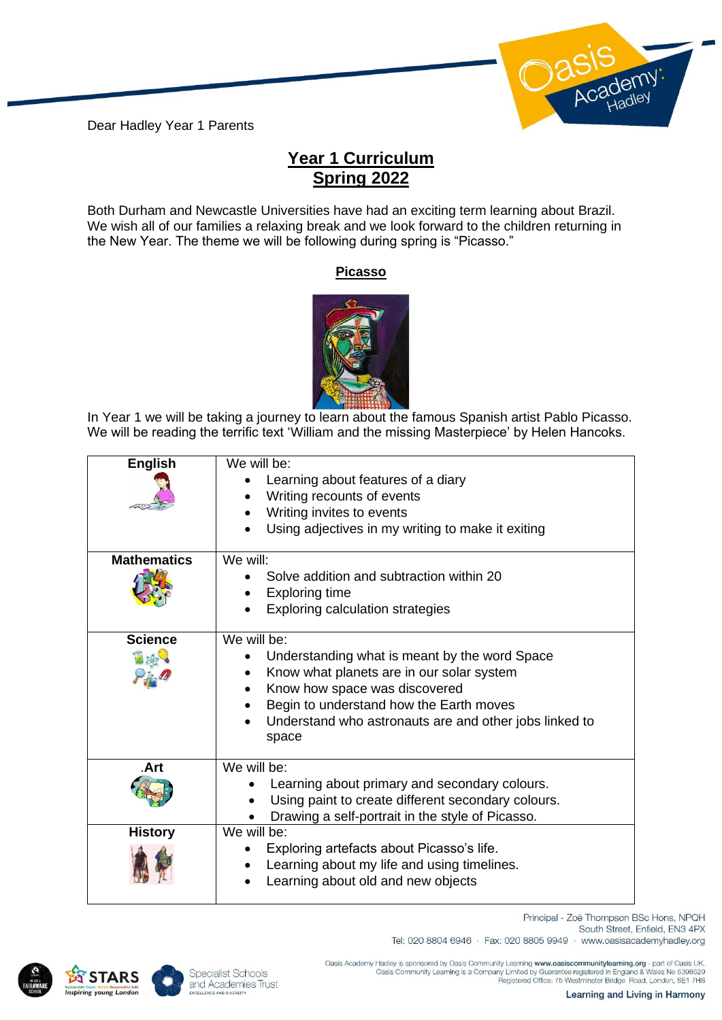Dear Hadley Year 1 Parents



## **Year 1 Curriculum Spring 2022**

Both Durham and Newcastle Universities have had an exciting term learning about Brazil. We wish all of our families a relaxing break and we look forward to the children returning in the New Year. The theme we will be following during spring is "Picasso."

## **Picasso**



In Year 1 we will be taking a journey to learn about the famous Spanish artist Pablo Picasso. We will be reading the terrific text 'William and the missing Masterpiece' by Helen Hancoks.

| <b>English</b>     | We will be:<br>Learning about features of a diary<br>Writing recounts of events<br>Writing invites to events<br>Using adjectives in my writing to make it exiting                                                                                                     |
|--------------------|-----------------------------------------------------------------------------------------------------------------------------------------------------------------------------------------------------------------------------------------------------------------------|
| <b>Mathematics</b> | We will:<br>Solve addition and subtraction within 20<br><b>Exploring time</b><br><b>Exploring calculation strategies</b>                                                                                                                                              |
| <b>Science</b>     | We will be:<br>Understanding what is meant by the word Space<br>Know what planets are in our solar system<br>$\bullet$<br>Know how space was discovered<br>Begin to understand how the Earth moves<br>Understand who astronauts are and other jobs linked to<br>space |
| .Art               | We will be:<br>Learning about primary and secondary colours.<br>Using paint to create different secondary colours.<br>$\bullet$<br>Drawing a self-portrait in the style of Picasso.                                                                                   |
| <b>History</b>     | We will be:<br>Exploring artefacts about Picasso's life.<br>Learning about my life and using timelines.<br>Learning about old and new objects                                                                                                                         |

Principal - Zoë Thompson BSc Hons, NPQH South Street, Enfield, EN3 4PX Tel: 020 8804 6946 · Fax: 020 8805 9949 · www.oasisacademyhadley.org





.Oasis Academy Hadley is sponsored by Oasis Community Learning www.oasiscommunitylearning.org - part of Oasis UK<br>Oasis Community Learning is a Company Limited by Guarantee registered in England & Wales No 5398529<br>Registere